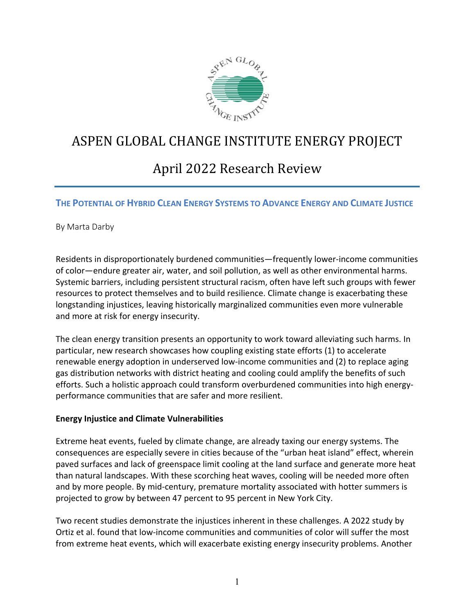

# ASPEN GLOBAL CHANGE INSTITUTE ENERGY PROJECT

# April 2022 Research Review

### THE POTENTIAL OF HYBRID CLEAN ENFRGY SYSTEMS TO ADVANCE ENFRGY AND CLIMATE JUSTICE

By Marta Darby

Residents in disproportionately burdened communities—frequently lower-income communities of color—endure greater air, water, and soil pollution, as well as other environmental harms. Systemic barriers, including persistent structural racism, often have left such groups with fewer resources to protect themselves and to build resilience. Climate change is exacerbating these longstanding injustices, leaving historically marginalized communities even more vulnerable and more at risk for energy insecurity.

The clean energy transition presents an opportunity to work toward alleviating such harms. In particular, new research showcases how coupling existing state efforts (1) to accelerate renewable energy adoption in underserved low-income communities and (2) to replace aging gas distribution networks with district heating and cooling could amplify the benefits of such efforts. Such a holistic approach could transform overburdened communities into high energyperformance communities that are safer and more resilient.

# **Energy Injustice and Climate Vulnerabilities**

Extreme heat events, fueled by climate change, are already taxing our energy systems. The consequences are especially severe in cities because of the "urban heat island" effect, wherein paved surfaces and lack of greenspace limit cooling at the land surface and generate more heat than natural landscapes. With these scorching heat waves, cooling will be needed more often and by more people. By mid-century, premature mortality associated with hotter summers is projected to grow by between 47 percent to 95 percent in New York City.

Two recent studies demonstrate the injustices inherent in these challenges. A 2022 study by Ortiz et al. found that low-income communities and communities of color will suffer the most from extreme heat events, which will exacerbate existing energy insecurity problems. Another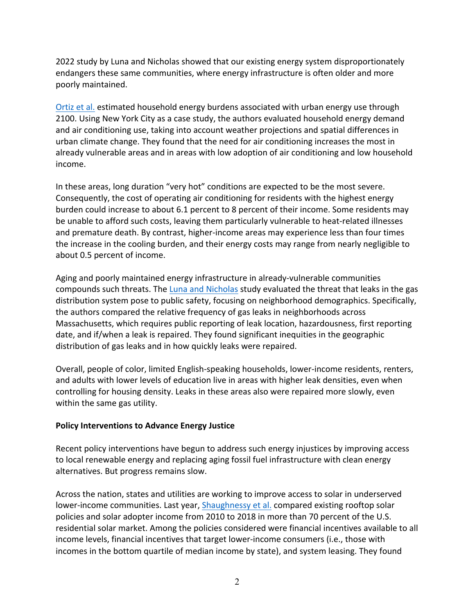2022 study by Luna and Nicholas showed that our existing energy system disproportionately endangers these same communities, where energy infrastructure is often older and more poorly maintained.

Ortiz et al. estimated household energy burdens associated with urban energy use through 2100. Using New York City as a case study, the authors evaluated household energy demand and air conditioning use, taking into account weather projections and spatial differences in urban climate change. They found that the need for air conditioning increases the most in already vulnerable areas and in areas with low adoption of air conditioning and low household income.

In these areas, long duration "very hot" conditions are expected to be the most severe. Consequently, the cost of operating air conditioning for residents with the highest energy burden could increase to about 6.1 percent to 8 percent of their income. Some residents may be unable to afford such costs, leaving them particularly vulnerable to heat-related illnesses and premature death. By contrast, higher-income areas may experience less than four times the increase in the cooling burden, and their energy costs may range from nearly negligible to about 0.5 percent of income.

Aging and poorly maintained energy infrastructure in already-vulnerable communities compounds such threats. The Luna and Nicholas study evaluated the threat that leaks in the gas distribution system pose to public safety, focusing on neighborhood demographics. Specifically, the authors compared the relative frequency of gas leaks in neighborhoods across Massachusetts, which requires public reporting of leak location, hazardousness, first reporting date, and if/when a leak is repaired. They found significant inequities in the geographic distribution of gas leaks and in how quickly leaks were repaired.

Overall, people of color, limited English-speaking households, lower-income residents, renters, and adults with lower levels of education live in areas with higher leak densities, even when controlling for housing density. Leaks in these areas also were repaired more slowly, even within the same gas utility.

# **Policy Interventions to Advance Energy Justice**

Recent policy interventions have begun to address such energy injustices by improving access to local renewable energy and replacing aging fossil fuel infrastructure with clean energy alternatives. But progress remains slow.

Across the nation, states and utilities are working to improve access to solar in underserved lower-income communities. Last year, Shaughnessy et al. compared existing rooftop solar policies and solar adopter income from 2010 to 2018 in more than 70 percent of the U.S. residential solar market. Among the policies considered were financial incentives available to all income levels, financial incentives that target lower-income consumers (i.e., those with incomes in the bottom quartile of median income by state), and system leasing. They found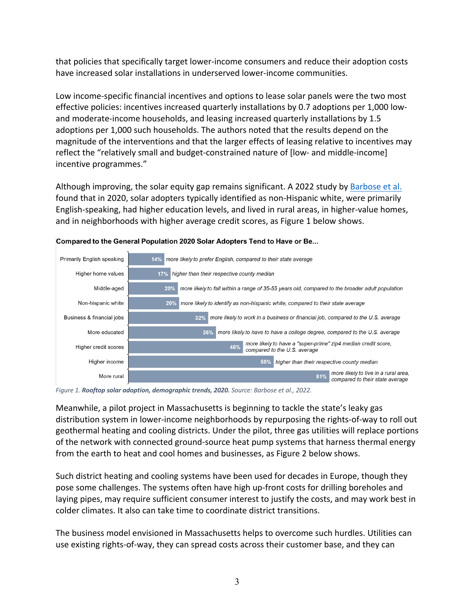that policies that specifically target lower-income consumers and reduce their adoption costs have increased solar installations in underserved lower-income communities.

Low income-specific financial incentives and options to lease solar panels were the two most effective policies: incentives increased quarterly installations by 0.7 adoptions per 1,000 lowand moderate-income households, and leasing increased quarterly installations by 1.5 adoptions per 1,000 such households. The authors noted that the results depend on the magnitude of the interventions and that the larger effects of leasing relative to incentives may reflect the "relatively small and budget-constrained nature of [low- and middle-income] incentive programmes."

Although improving, the solar equity gap remains significant. A 2022 study by Barbose et al. found that in 2020, solar adopters typically identified as non-Hispanic white, were primarily English-speaking, had higher education levels, and lived in rural areas, in higher-value homes, and in neighborhoods with higher average credit scores, as Figure 1 below shows.



### Compared to the General Population 2020 Solar Adopters Tend to Have or Be...

*Figure 1. Rooftop solar adoption, demographic trends, 2020. Source: Barbose et al., 2022.*

Meanwhile, a pilot project in Massachusetts is beginning to tackle the state's leaky gas distribution system in lower-income neighborhoods by repurposing the rights-of-way to roll out geothermal heating and cooling districts. Under the pilot, three gas utilities will replace portions of the network with connected ground-source heat pump systems that harness thermal energy from the earth to heat and cool homes and businesses, as Figure 2 below shows.

Such district heating and cooling systems have been used for decades in Europe, though they pose some challenges. The systems often have high up-front costs for drilling boreholes and laying pipes, may require sufficient consumer interest to justify the costs, and may work best in colder climates. It also can take time to coordinate district transitions.

The business model envisioned in Massachusetts helps to overcome such hurdles. Utilities can use existing rights-of-way, they can spread costs across their customer base, and they can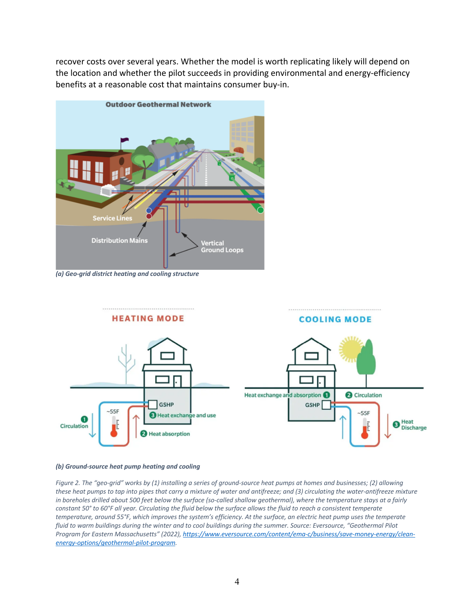recover costs over several years. Whether the model is worth replicating likely will depend on the location and whether the pilot succeeds in providing environmental and energy-efficiency benefits at a reasonable cost that maintains consumer buy-in.



*(a) Geo-grid district heating and cooling structure*



#### *(b) Ground-source heat pump heating and cooling*

*Figure 2. The "geo-grid" works by (1) installing a series of ground-source heat pumps at homes and businesses; (2) allowing these heat pumps to tap into pipes that carry a mixture of water and antifreeze; and (3) circulating the water-antifreeze mixture in boreholes drilled about 500 feet below the surface (so-called shallow geothermal), where the temperature stays at a fairly constant 50° to 60°F all year. Circulating the fluid below the surface allows the fluid to reach a consistent temperate temperature, around 55°F, which improves the system's efficiency. At the surface, an electric heat pump uses the temperate fluid to warm buildings during the winter and to cool buildings during the summer. Source: Eversource, "Geothermal Pilot Program for Eastern Massachusetts" (2022), https://www.eversource.com/content/ema-c/business/save-money-energy/cleanenergy-options/geothermal-pilot-program.*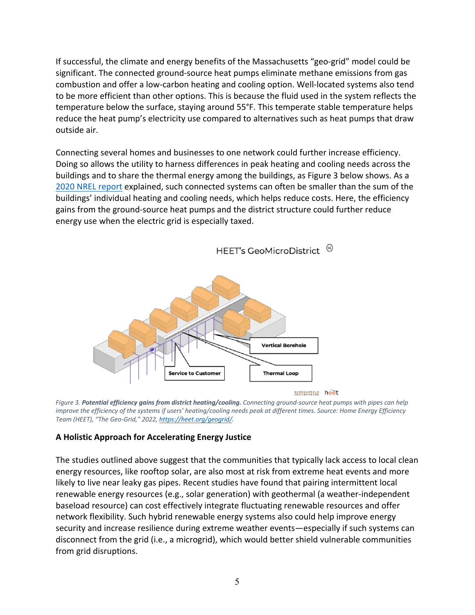If successful, the climate and energy benefits of the Massachusetts "geo-grid" model could be significant. The connected ground-source heat pumps eliminate methane emissions from gas combustion and offer a low-carbon heating and cooling option. Well-located systems also tend to be more efficient than other options. This is because the fluid used in the system reflects the temperature below the surface, staying around 55°F. This temperate stable temperature helps reduce the heat pump's electricity use compared to alternatives such as heat pumps that draw outside air.

Connecting several homes and businesses to one network could further increase efficiency. Doing so allows the utility to harness differences in peak heating and cooling needs across the buildings and to share the thermal energy among the buildings, as Figure 3 below shows. As a 2020 NREL report explained, such connected systems can often be smaller than the sum of the buildings' individual heating and cooling needs, which helps reduce costs. Here, the efficiency gains from the ground-source heat pumps and the district structure could further reduce energy use when the electric grid is especially taxed.

HEET's GeoMicroDistrict <sup>@</sup>



ENGINEERING heet



### **A Holistic Approach for Accelerating Energy Justice**

The studies outlined above suggest that the communities that typically lack access to local clean energy resources, like rooftop solar, are also most at risk from extreme heat events and more likely to live near leaky gas pipes. Recent studies have found that pairing intermittent local renewable energy resources (e.g., solar generation) with geothermal (a weather-independent baseload resource) can cost effectively integrate fluctuating renewable resources and offer network flexibility. Such hybrid renewable energy systems also could help improve energy security and increase resilience during extreme weather events—especially if such systems can disconnect from the grid (i.e., a microgrid), which would better shield vulnerable communities from grid disruptions.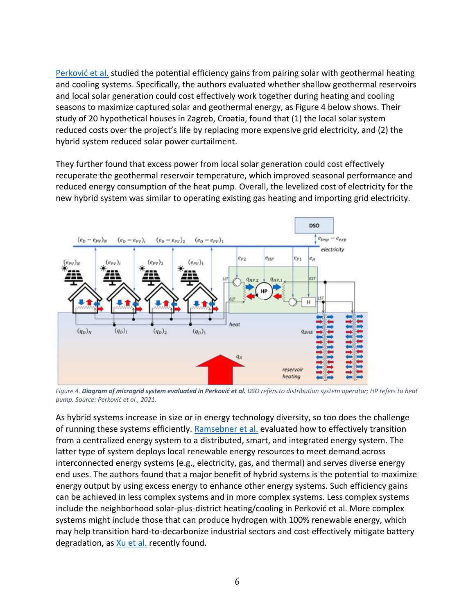Perković et al. studied the potential efficiency gains from pairing solar with geothermal heating and cooling systems. Specifically, the authors evaluated whether shallow geothermal reservoirs and local solar generation could cost effectively work together during heating and cooling seasons to maximize captured solar and geothermal energy, as Figure 4 below shows. Their study of 20 hypothetical houses in Zagreb, Croatia, found that (1) the local solar system reduced costs over the project's life by replacing more expensive grid electricity, and (2) the hybrid system reduced solar power curtailment.

They further found that excess power from local solar generation could cost effectively recuperate the geothermal reservoir temperature, which improved seasonal performance and reduced energy consumption of the heat pump. Overall, the levelized cost of electricity for the new hybrid system was similar to operating existing gas heating and importing grid electricity.



*Figure 4. Diagram of microgrid system evaluated in Perković et al. DSO refers to distribution system operator; HP refers to heat pump. Source: Perković et al., 2021.*

As hybrid systems increase in size or in energy technology diversity, so too does the challenge of running these systems efficiently. Ramsebner et al. evaluated how to effectively transition from a centralized energy system to a distributed, smart, and integrated energy system. The latter type of system deploys local renewable energy resources to meet demand across interconnected energy systems (e.g., electricity, gas, and thermal) and serves diverse energy end uses. The authors found that a major benefit of hybrid systems is the potential to maximize energy output by using excess energy to enhance other energy systems. Such efficiency gains can be achieved in less complex systems and in more complex systems. Less complex systems include the neighborhood solar-plus-district heating/cooling in Perković et al. More complex systems might include those that can produce hydrogen with 100% renewable energy, which may help transition hard-to-decarbonize industrial sectors and cost effectively mitigate battery degradation, as Xu et al. recently found.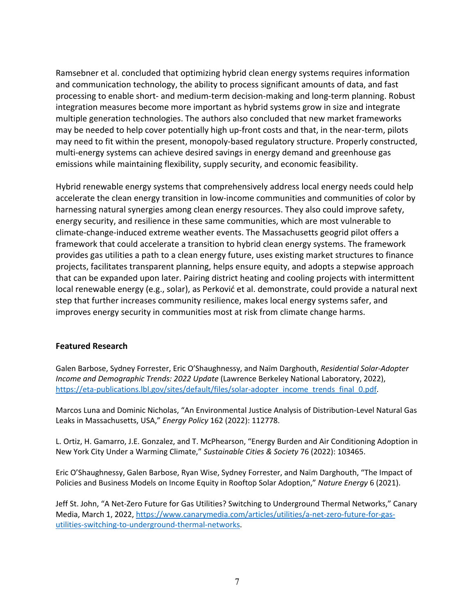Ramsebner et al. concluded that optimizing hybrid clean energy systems requires information and communication technology, the ability to process significant amounts of data, and fast processing to enable short- and medium-term decision-making and long-term planning. Robust integration measures become more important as hybrid systems grow in size and integrate multiple generation technologies. The authors also concluded that new market frameworks may be needed to help cover potentially high up-front costs and that, in the near-term, pilots may need to fit within the present, monopoly-based regulatory structure. Properly constructed, multi-energy systems can achieve desired savings in energy demand and greenhouse gas emissions while maintaining flexibility, supply security, and economic feasibility.

Hybrid renewable energy systems that comprehensively address local energy needs could help accelerate the clean energy transition in low-income communities and communities of color by harnessing natural synergies among clean energy resources. They also could improve safety, energy security, and resilience in these same communities, which are most vulnerable to climate-change-induced extreme weather events. The Massachusetts geogrid pilot offers a framework that could accelerate a transition to hybrid clean energy systems. The framework provides gas utilities a path to a clean energy future, uses existing market structures to finance projects, facilitates transparent planning, helps ensure equity, and adopts a stepwise approach that can be expanded upon later. Pairing district heating and cooling projects with intermittent local renewable energy (e.g., solar), as Perković et al. demonstrate, could provide a natural next step that further increases community resilience, makes local energy systems safer, and improves energy security in communities most at risk from climate change harms.

### **Featured Research**

Galen Barbose, Sydney Forrester, Eric O'Shaughnessy, and Naïm Darghouth, *Residential Solar-Adopter Income and Demographic Trends: 2022 Update* (Lawrence Berkeley National Laboratory, 2022), https://eta-publications.lbl.gov/sites/default/files/solar-adopter\_income\_trends\_final\_0.pdf.

Marcos Luna and Dominic Nicholas, "An Environmental Justice Analysis of Distribution-Level Natural Gas Leaks in Massachusetts, USA," *Energy Policy* 162 (2022): 112778.

L. Ortiz, H. Gamarro, J.E. Gonzalez, and T. McPhearson, "Energy Burden and Air Conditioning Adoption in New York City Under a Warming Climate," *Sustainable Cities & Society* 76 (2022): 103465.

Eric O'Shaughnessy, Galen Barbose, Ryan Wise, Sydney Forrester, and Naïm Darghouth, "The Impact of Policies and Business Models on Income Equity in Rooftop Solar Adoption," *Nature Energy* 6 (2021).

Jeff St. John, "A Net-Zero Future for Gas Utilities? Switching to Underground Thermal Networks," Canary Media, March 1, 2022, https://www.canarymedia.com/articles/utilities/a-net-zero-future-for-gasutilities-switching-to-underground-thermal-networks.